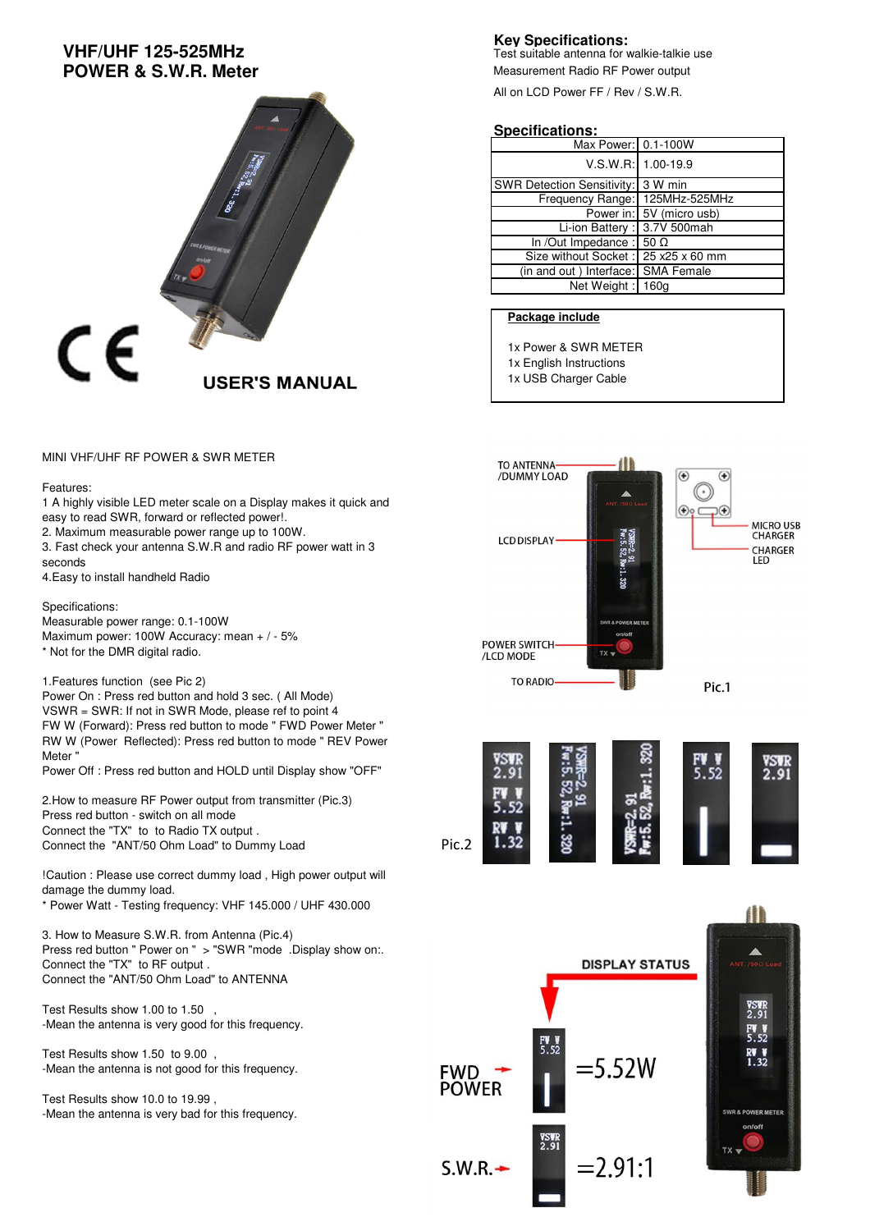# **VHF/UHF 125-525MHz POWER & S.W.R. Meter**



MINI VHF/UHF RF POWER & SWR METER

#### Features:

1 A highly visible LED meter scale on a Display makes it quick and easy to read SWR, forward or reflected power!. 2. Maximum measurable power range up to 100W.

3. Fast check your antenna S.W.R and radio RF power watt in 3 seconds

4.Easy to install handheld Radio

Specifications:

Measurable power range: 0.1-100W Maximum power: 100W Accuracy: mean + / - 5% \* Not for the DMR digital radio.

1.Features function (see Pic 2) Power On : Press red button and hold 3 sec. ( All Mode) VSWR = SWR: If not in SWR Mode, please ref to point 4 FW W (Forward): Press red button to mode " FWD Power Meter " RW W (Power Reflected): Press red button to mode " REV Power Meter "

Power Off : Press red button and HOLD until Display show "OFF"

2.How to measure RF Power output from transmitter (Pic.3) Press red button - switch on all mode Connect the "TX" to to Radio TX output . Connect the "ANT/50 Ohm Load" to Dummy Load

!Caution : Please use correct dummy load , High power output will damage the dummy load.

\* Power Watt - Testing frequency: VHF 145.000 / UHF 430.000

3. How to Measure S.W.R. from Antenna (Pic.4) Press red button " Power on " > "SWR "mode .Display show on.. Connect the "TX" to RF output . Connect the "ANT/50 Ohm Load" to ANTENNA

Test Results show 1.00 to 1.50 , -Mean the antenna is very good for this frequency.

Test Results show 1.50 to 9.00 , -Mean the antenna is not good for this frequency.

Test Results show 10.0 to 19.99 , -Mean the antenna is very bad for this frequency.

### **Key Specifications:**

Test suitable antenna for walkie-talkie use Measurement Radio RF Power output

All on LCD Power FF / Rev / S.W.R.

#### **Specifications:**

| Max Power: 0.1-100W                        |                          |
|--------------------------------------------|--------------------------|
|                                            | $V.S.W.R: 1.00-19.9$     |
| SWR Detection Sensitivity: 3 W min         |                          |
| Frequency Range: 125MHz-525MHz             |                          |
|                                            | Power in: 5V (micro usb) |
| Li-ion Battery : 3.7V 500mah               |                          |
| In /Out Impedance : $\overline{50 \Omega}$ |                          |
| Size without Socket: 25 x25 x 60 mm        |                          |
| (in and out) Interface: SMA Female         |                          |
| Net Weight: 160g                           |                          |

### **Package include**

1x Power & SWR METER

- 1x English Instructions
- 1x USB Charger Cable



Pic.2

**FWD POWER** 

 $S.W.R. -$ 

**DISPLAY STATUS** 

=5.52W

 $= 2.91:1$